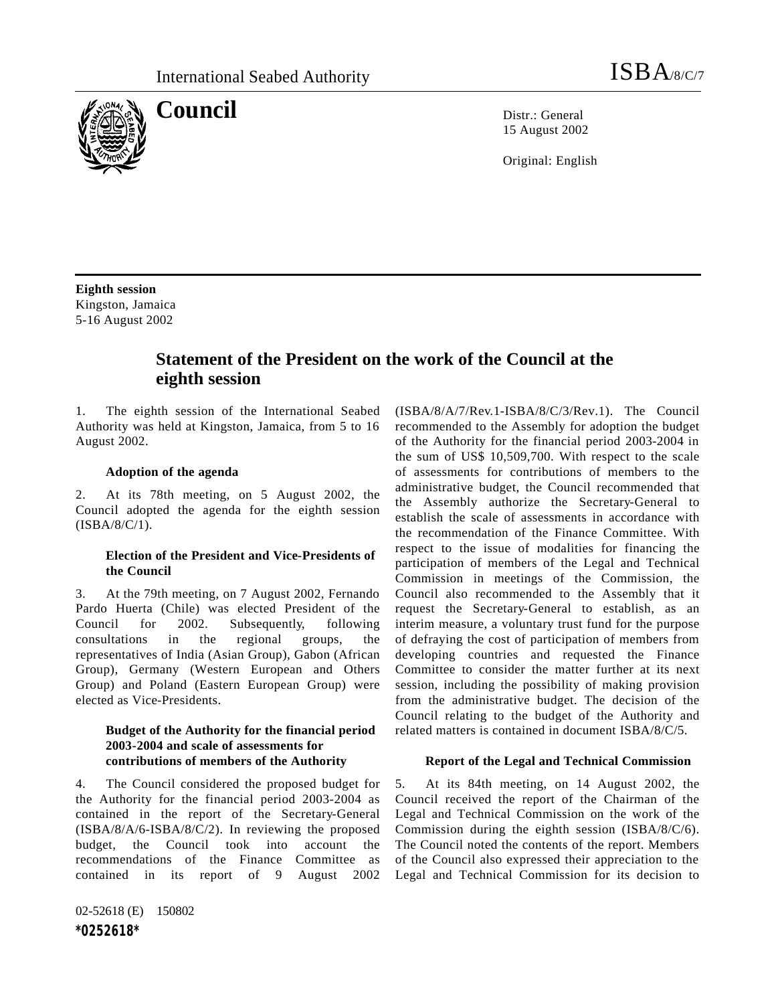

**Council** Distribution Distribution Distribution Distribution Distribution Distribution Distribution Distribution Distribution Distribution Distribution Distribution Distribution Distribution Distribution Distribution Dist

15 August 2002

Original: English

**Eighth session** Kingston, Jamaica 5-16 August 2002

# **Statement of the President on the work of the Council at the eighth session**

1. The eighth session of the International Seabed Authority was held at Kingston, Jamaica, from 5 to 16 August 2002.

#### **Adoption of the agenda**

2. At its 78th meeting, on 5 August 2002, the Council adopted the agenda for the eighth session (ISBA/8/C/1).

### **Election of the President and Vice-Presidents of the Council**

3. At the 79th meeting, on 7 August 2002, Fernando Pardo Huerta (Chile) was elected President of the Council for 2002. Subsequently, following consultations in the regional groups, the representatives of India (Asian Group), Gabon (African Group), Germany (Western European and Others Group) and Poland (Eastern European Group) were elected as Vice-Presidents.

# **Budget of the Authority for the financial period 2003-2004 and scale of assessments for contributions of members of the Authority**

4. The Council considered the proposed budget for the Authority for the financial period 2003-2004 as contained in the report of the Secretary-General (ISBA/8/A/6-ISBA/8/C/2). In reviewing the proposed budget, the Council took into account the recommendations of the Finance Committee as contained in its report of 9 August 2002

02-52618 (E) 150802 *\*0252618\**

(ISBA/8/A/7/Rev.1-ISBA/8/C/3/Rev.1). The Council recommended to the Assembly for adoption the budget of the Authority for the financial period 2003-2004 in the sum of US\$ 10,509,700. With respect to the scale of assessments for contributions of members to the administrative budget, the Council recommended that the Assembly authorize the Secretary-General to establish the scale of assessments in accordance with the recommendation of the Finance Committee. With respect to the issue of modalities for financing the participation of members of the Legal and Technical Commission in meetings of the Commission, the Council also recommended to the Assembly that it request the Secretary-General to establish, as an interim measure, a voluntary trust fund for the purpose of defraying the cost of participation of members from developing countries and requested the Finance Committee to consider the matter further at its next session, including the possibility of making provision from the administrative budget. The decision of the Council relating to the budget of the Authority and related matters is contained in document ISBA/8/C/5.

#### **Report of the Legal and Technical Commission**

5. At its 84th meeting, on 14 August 2002, the Council received the report of the Chairman of the Legal and Technical Commission on the work of the Commission during the eighth session (ISBA/8/C/6). The Council noted the contents of the report. Members of the Council also expressed their appreciation to the Legal and Technical Commission for its decision to